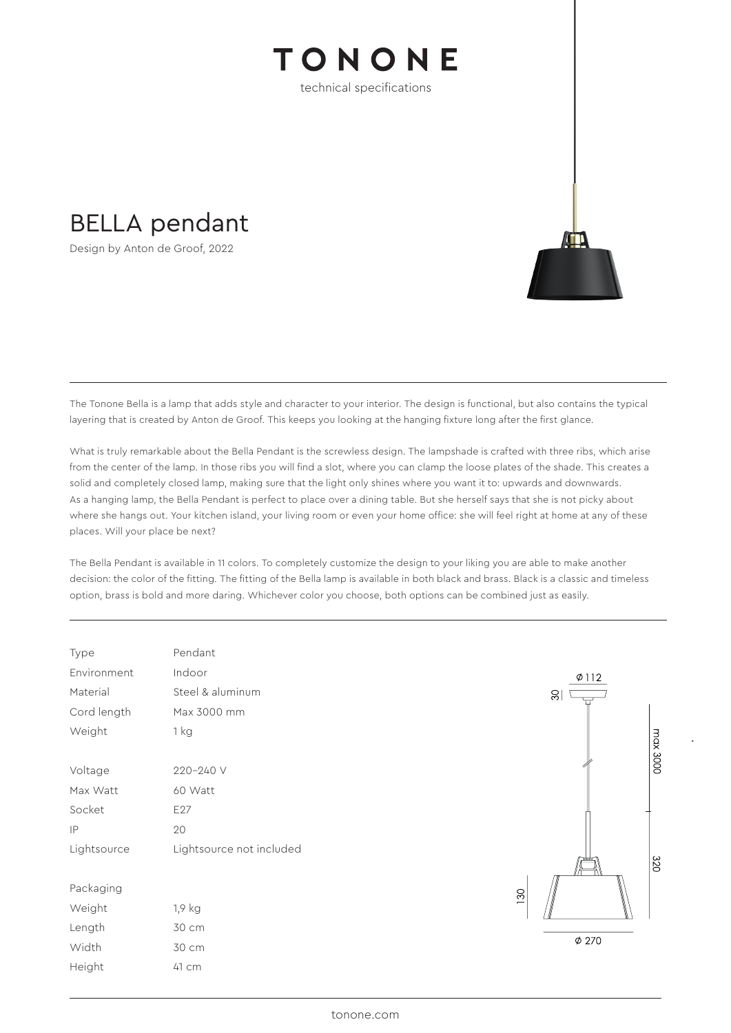## TONONE

technical specifications



Design by Anton de Groof, 2022



The Tonone Bella is a lamp that adds style and character to your interior. The design is functional, but also contains the typical layering that is created by Anton de Groof. This keeps you looking at the hanging fixture long after the first glance.

What is truly remarkable about the Bella Pendant is the screwless design. The lampshade is crafted with three ribs, which arise from the center of the lamp. In those ribs you will find a slot, where you can clamp the loose plates of the shade. This creates a solid and completely closed lamp, making sure that the light only shines where you want it to: upwards and downwards. As a hanging lamp, the Bella Pendant is perfect to place over a dining table. But she herself says that she is not picky about where she hangs out. Your kitchen island, your living room or even your home office: she will feel right at home at any of these places. Will your place be next?

The Bella Pendant is available in 11 colors. To completely customize the design to your liking you are able to make another decision: the color of the fitting. The fitting of the Bella lamp is available in both black and brass. Black is a classic and timeless option, brass is bold and more daring. Whichever color you choose, both options can be combined just as easily.

| Type        | Pendant                  |  |  |
|-------------|--------------------------|--|--|
| Environment | Indoor                   |  |  |
| Material    | Steel & aluminum         |  |  |
| Cord length | Max 3000 mm              |  |  |
| Weight      | 1 kg                     |  |  |
|             |                          |  |  |
| Voltage     | 220-240 V                |  |  |
| Max Watt    | 60 Watt                  |  |  |
| Socket      | E <sub>27</sub>          |  |  |
| IP          | 20                       |  |  |
| Lightsource | Lightsource not included |  |  |
|             |                          |  |  |
| Packaging   |                          |  |  |
| Weight      | 1,9 kg                   |  |  |
| Length      | 30 cm                    |  |  |
| Width       | 30 cm                    |  |  |
|             |                          |  |  |

41 cm

Height